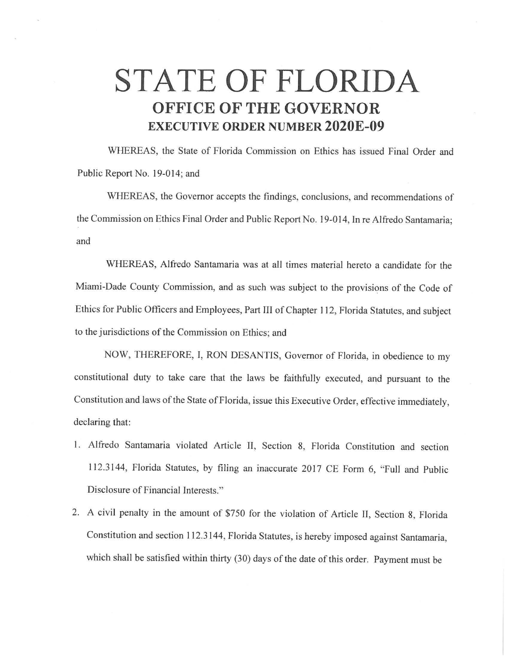## **STATE OF FLORIDA OFFICE OF THE GOVERNOR EXECUTIVE ORDER NUMBER 2020E-09**

WHEREAS, the State of Florida Commission on Ethics has issued Final Order and Public Report No. 19-014; and

WHEREAS, the Governor accepts the findings, conclusions, and recommendations of the Commission on Ethics Final Order and Public Report No. 19-014, In re Alfredo Santamaria; and

WHEREAS, Alfredo Santamaria was at all times material hereto a candidate for the Miami-Dade County Commission, and as such was subject to the provisions of the Code of Ethics for Public Officers and Employees, Part III of Chapter 112, Florida Statutes, and subject to the jurisdictions of the Commission on Ethics; and

NOW, THEREFORE, I, RON DESANTIS, Governor of Florida, in obedience to my constitutional duty to take care that the laws be faithfully executed, and pursuant to the Constitution and laws of the State of Florida, issue this Executive Order, effective immediately, declaring that:

- 1. Alfredo Santamaria violated Article II, Section 8, Florida Constitution and section 112.3144, Florida Statutes, by filing an inaccurate 2017 CE Fonn 6, "Full and Public Disclosure of Financial Interests."
- 2. A civil penalty in the amount of \$750 for the violation of Article II, Section 8, Florida Constitution and section 112.3144, Florida Statutes, is hereby imposed against Santamaria, which shall be satisfied within thirty (30) days of the date of this order. Payment must be